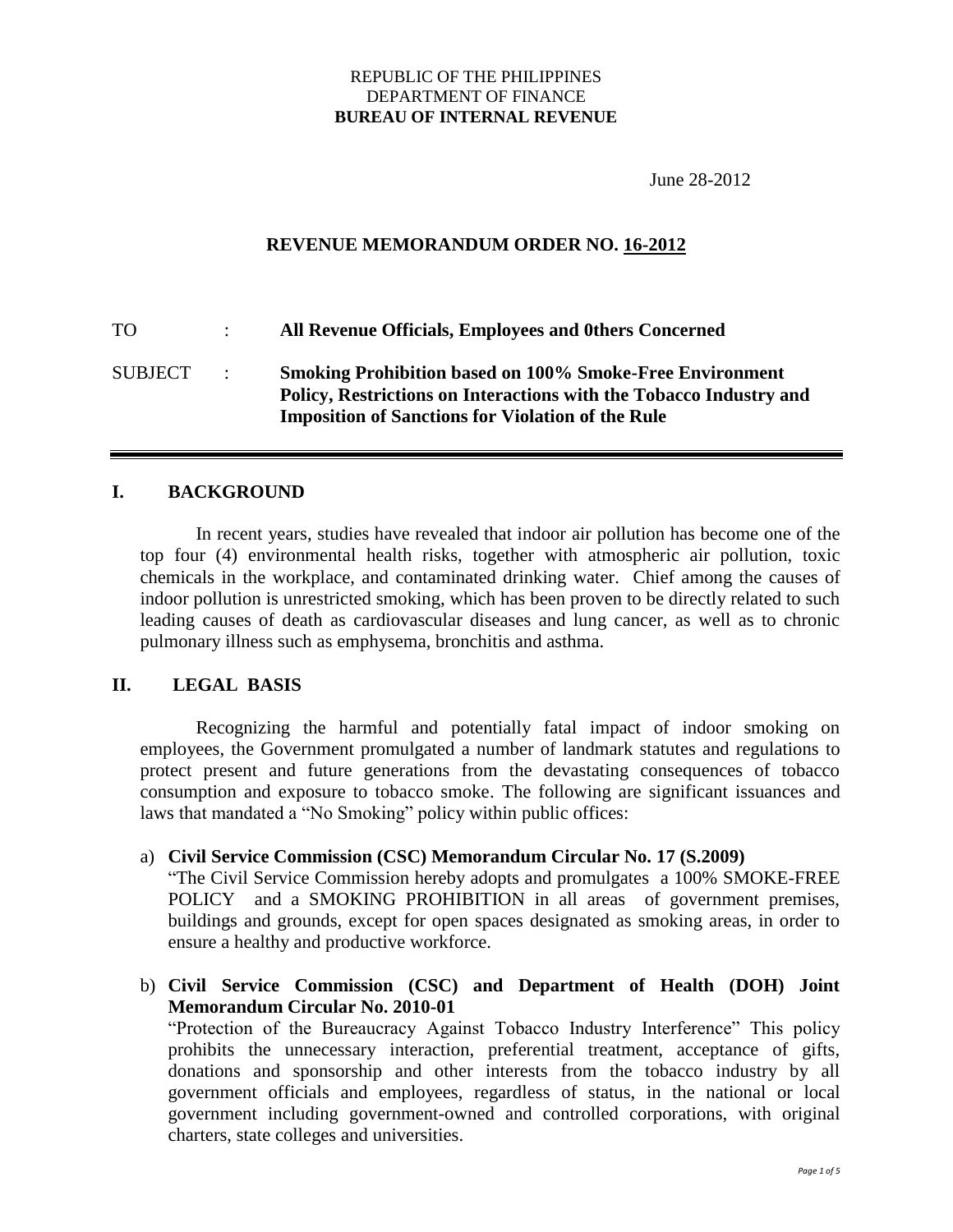#### REPUBLIC OF THE PHILIPPINES DEPARTMENT OF FINANCE **BUREAU OF INTERNAL REVENUE**

June 28-2012

## **REVENUE MEMORANDUM ORDER NO. 16-2012**

TO : **All Revenue Officials, Employees and 0thers Concerned** SUBJECT : **Smoking Prohibition based on 100% Smoke-Free Environment Policy, Restrictions on Interactions with the Tobacco Industry and Imposition of Sanctions for Violation of the Rule**

#### **I. BACKGROUND**

In recent years, studies have revealed that indoor air pollution has become one of the top four (4) environmental health risks, together with atmospheric air pollution, toxic chemicals in the workplace, and contaminated drinking water. Chief among the causes of indoor pollution is unrestricted smoking, which has been proven to be directly related to such leading causes of death as cardiovascular diseases and lung cancer, as well as to chronic pulmonary illness such as emphysema, bronchitis and asthma.

#### **II. LEGAL BASIS**

Recognizing the harmful and potentially fatal impact of indoor smoking on employees, the Government promulgated a number of landmark statutes and regulations to protect present and future generations from the devastating consequences of tobacco consumption and exposure to tobacco smoke. The following are significant issuances and laws that mandated a "No Smoking" policy within public offices:

#### a) **Civil Service Commission (CSC) Memorandum Circular No. 17 (S.2009)**

"The Civil Service Commission hereby adopts and promulgates a 100% SMOKE-FREE POLICY and a SMOKING PROHIBITION in all areas of government premises, buildings and grounds, except for open spaces designated as smoking areas, in order to ensure a healthy and productive workforce.

## b) **Civil Service Commission (CSC) and Department of Health (DOH) Joint Memorandum Circular No. 2010-01**

"Protection of the Bureaucracy Against Tobacco Industry Interference" This policy prohibits the unnecessary interaction, preferential treatment, acceptance of gifts, donations and sponsorship and other interests from the tobacco industry by all government officials and employees, regardless of status, in the national or local government including government-owned and controlled corporations, with original charters, state colleges and universities.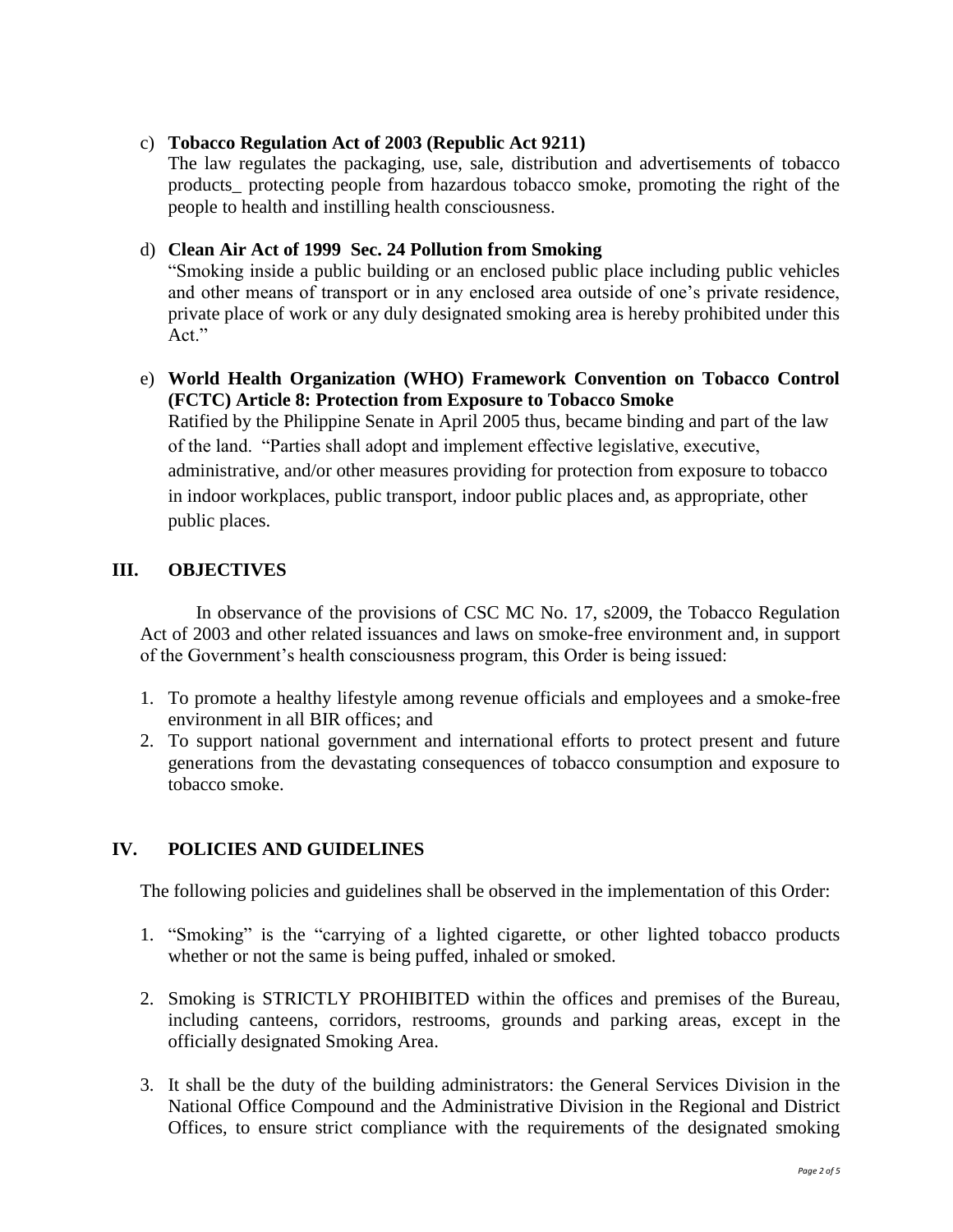#### c) **Tobacco Regulation Act of 2003 (Republic Act 9211)**

The law regulates the packaging, use, sale, distribution and advertisements of tobacco products\_ protecting people from hazardous tobacco smoke, promoting the right of the people to health and instilling health consciousness.

## d) **Clean Air Act of 1999 Sec. 24 Pollution from Smoking**

"Smoking inside a public building or an enclosed public place including public vehicles and other means of transport or in any enclosed area outside of one"s private residence, private place of work or any duly designated smoking area is hereby prohibited under this Act."

## e) **World Health Organization (WHO) Framework Convention on Tobacco Control (FCTC) Article 8: Protection from Exposure to Tobacco Smoke**

Ratified by the Philippine Senate in April 2005 thus, became binding and part of the law of the land. "Parties shall adopt and implement effective legislative, executive, administrative, and/or other measures providing for protection from exposure to tobacco in indoor workplaces, public transport, indoor public places and, as appropriate, other public places.

# **III. OBJECTIVES**

In observance of the provisions of CSC MC No. 17, s2009, the Tobacco Regulation Act of 2003 and other related issuances and laws on smoke-free environment and, in support of the Government"s health consciousness program, this Order is being issued:

- 1. To promote a healthy lifestyle among revenue officials and employees and a smoke-free environment in all BIR offices; and
- 2. To support national government and international efforts to protect present and future generations from the devastating consequences of tobacco consumption and exposure to tobacco smoke.

# **IV. POLICIES AND GUIDELINES**

The following policies and guidelines shall be observed in the implementation of this Order:

- 1. "Smoking" is the "carrying of a lighted cigarette, or other lighted tobacco products whether or not the same is being puffed, inhaled or smoked.
- 2. Smoking is STRICTLY PROHIBITED within the offices and premises of the Bureau, including canteens, corridors, restrooms, grounds and parking areas, except in the officially designated Smoking Area.
- 3. It shall be the duty of the building administrators: the General Services Division in the National Office Compound and the Administrative Division in the Regional and District Offices, to ensure strict compliance with the requirements of the designated smoking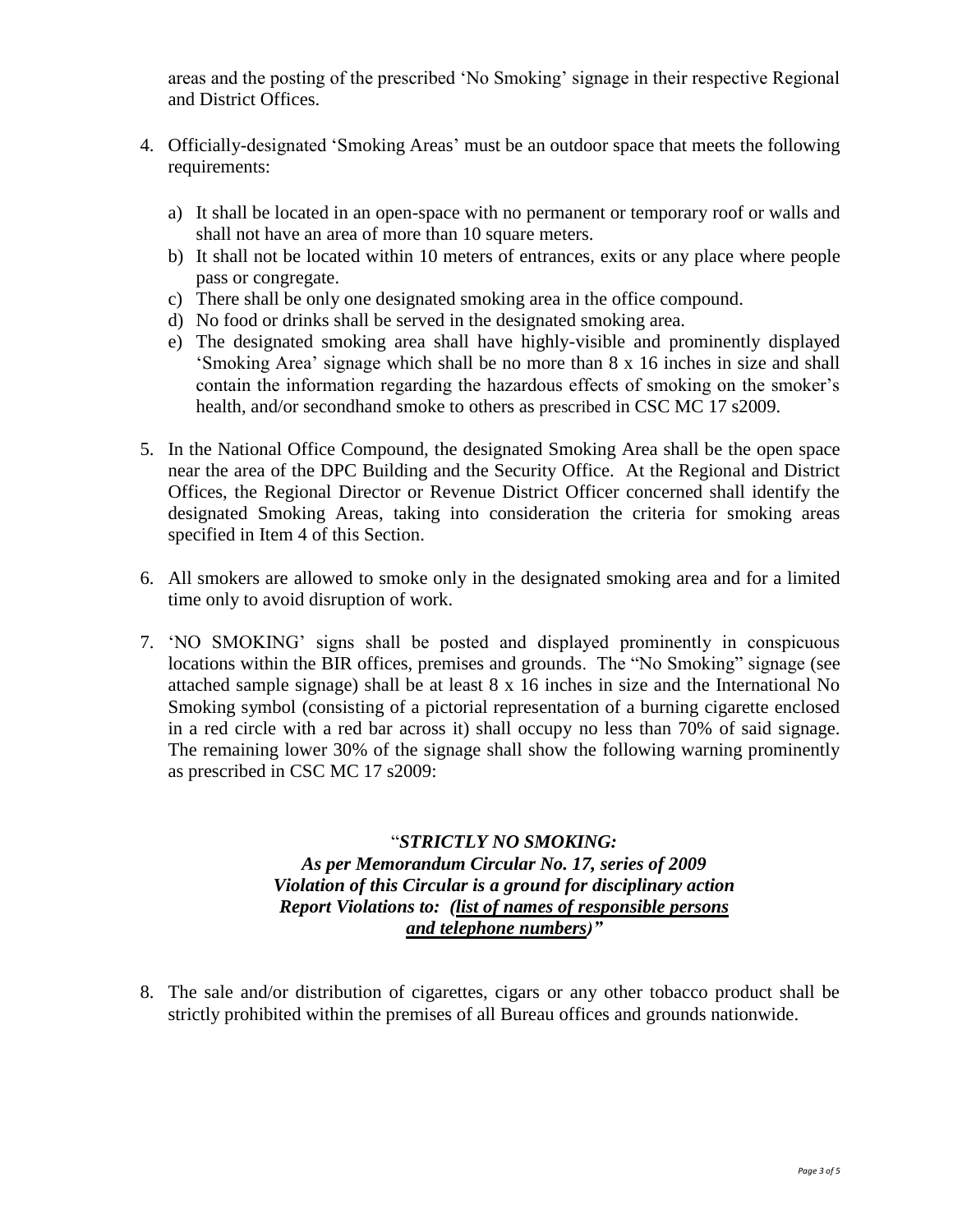areas and the posting of the prescribed "No Smoking" signage in their respective Regional and District Offices.

- 4. Officially-designated "Smoking Areas" must be an outdoor space that meets the following requirements:
	- a) It shall be located in an open-space with no permanent or temporary roof or walls and shall not have an area of more than 10 square meters.
	- b) It shall not be located within 10 meters of entrances, exits or any place where people pass or congregate.
	- c) There shall be only one designated smoking area in the office compound.
	- d) No food or drinks shall be served in the designated smoking area.
	- e) The designated smoking area shall have highly-visible and prominently displayed "Smoking Area" signage which shall be no more than 8 x 16 inches in size and shall contain the information regarding the hazardous effects of smoking on the smoker's health, and/or secondhand smoke to others as prescribed in CSC MC 17 s2009.
- 5. In the National Office Compound, the designated Smoking Area shall be the open space near the area of the DPC Building and the Security Office. At the Regional and District Offices, the Regional Director or Revenue District Officer concerned shall identify the designated Smoking Areas, taking into consideration the criteria for smoking areas specified in Item 4 of this Section.
- 6. All smokers are allowed to smoke only in the designated smoking area and for a limited time only to avoid disruption of work.
- 7. "NO SMOKING" signs shall be posted and displayed prominently in conspicuous locations within the BIR offices, premises and grounds. The "No Smoking" signage (see attached sample signage) shall be at least 8 x 16 inches in size and the International No Smoking symbol (consisting of a pictorial representation of a burning cigarette enclosed in a red circle with a red bar across it) shall occupy no less than 70% of said signage. The remaining lower 30% of the signage shall show the following warning prominently as prescribed in CSC MC 17 s2009:

## "*STRICTLY NO SMOKING: As per Memorandum Circular No. 17, series of 2009 Violation of this Circular is a ground for disciplinary action Report Violations to: (list of names of responsible persons and telephone numbers)"*

8. The sale and/or distribution of cigarettes, cigars or any other tobacco product shall be strictly prohibited within the premises of all Bureau offices and grounds nationwide.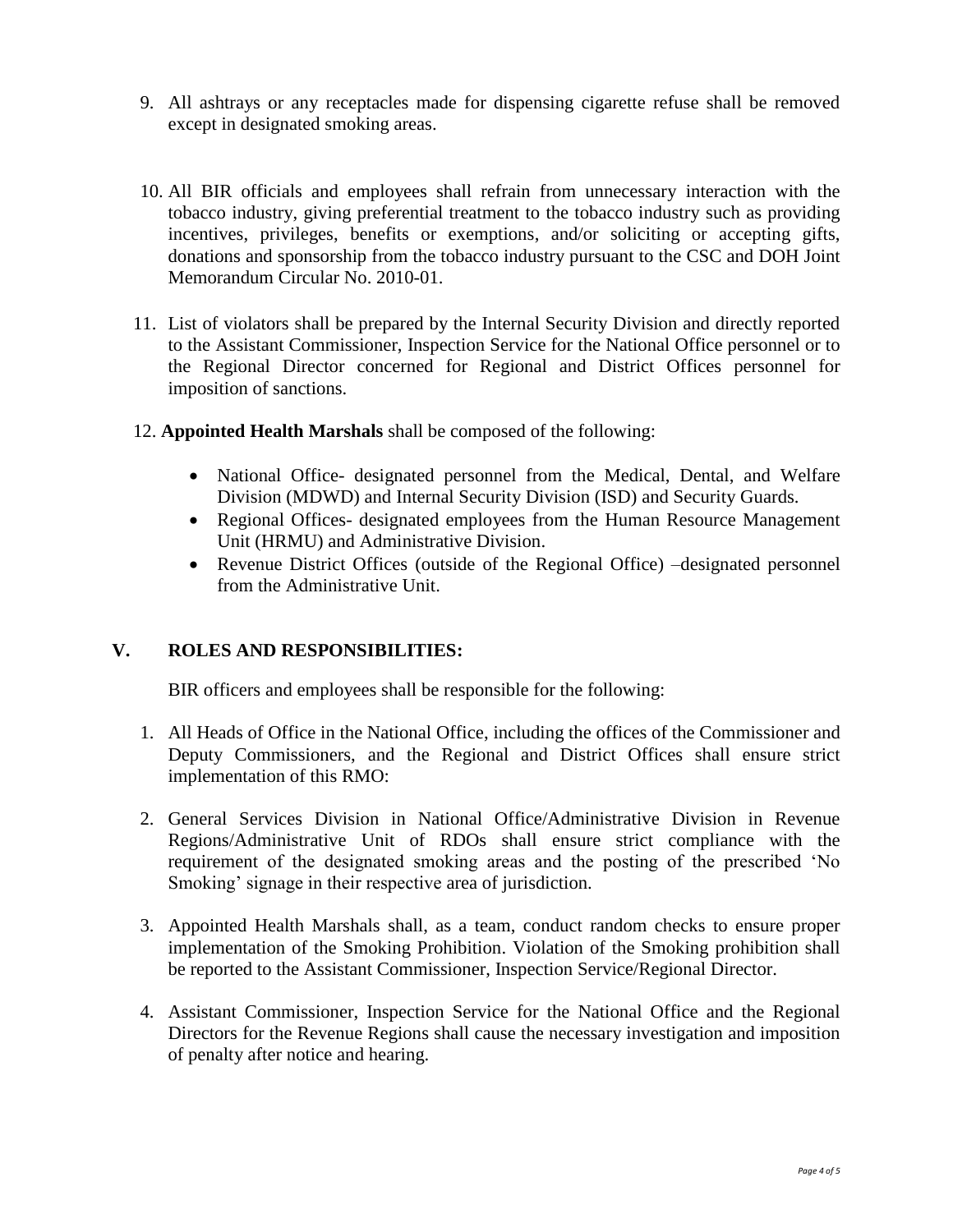- 9. All ashtrays or any receptacles made for dispensing cigarette refuse shall be removed except in designated smoking areas.
- 10. All BIR officials and employees shall refrain from unnecessary interaction with the tobacco industry, giving preferential treatment to the tobacco industry such as providing incentives, privileges, benefits or exemptions, and/or soliciting or accepting gifts, donations and sponsorship from the tobacco industry pursuant to the CSC and DOH Joint Memorandum Circular No. 2010-01.
- 11. List of violators shall be prepared by the Internal Security Division and directly reported to the Assistant Commissioner, Inspection Service for the National Office personnel or to the Regional Director concerned for Regional and District Offices personnel for imposition of sanctions.
- 12. **Appointed Health Marshals** shall be composed of the following:
	- National Office- designated personnel from the Medical, Dental, and Welfare Division (MDWD) and Internal Security Division (ISD) and Security Guards.
	- Regional Offices- designated employees from the Human Resource Management Unit (HRMU) and Administrative Division.
	- Revenue District Offices (outside of the Regional Office) –designated personnel from the Administrative Unit.

#### **V. ROLES AND RESPONSIBILITIES:**

BIR officers and employees shall be responsible for the following:

- 1. All Heads of Office in the National Office, including the offices of the Commissioner and Deputy Commissioners, and the Regional and District Offices shall ensure strict implementation of this RMO:
- 2. General Services Division in National Office/Administrative Division in Revenue Regions/Administrative Unit of RDOs shall ensure strict compliance with the requirement of the designated smoking areas and the posting of the prescribed "No Smoking' signage in their respective area of jurisdiction.
- 3. Appointed Health Marshals shall, as a team, conduct random checks to ensure proper implementation of the Smoking Prohibition. Violation of the Smoking prohibition shall be reported to the Assistant Commissioner, Inspection Service/Regional Director.
- 4. Assistant Commissioner, Inspection Service for the National Office and the Regional Directors for the Revenue Regions shall cause the necessary investigation and imposition of penalty after notice and hearing.